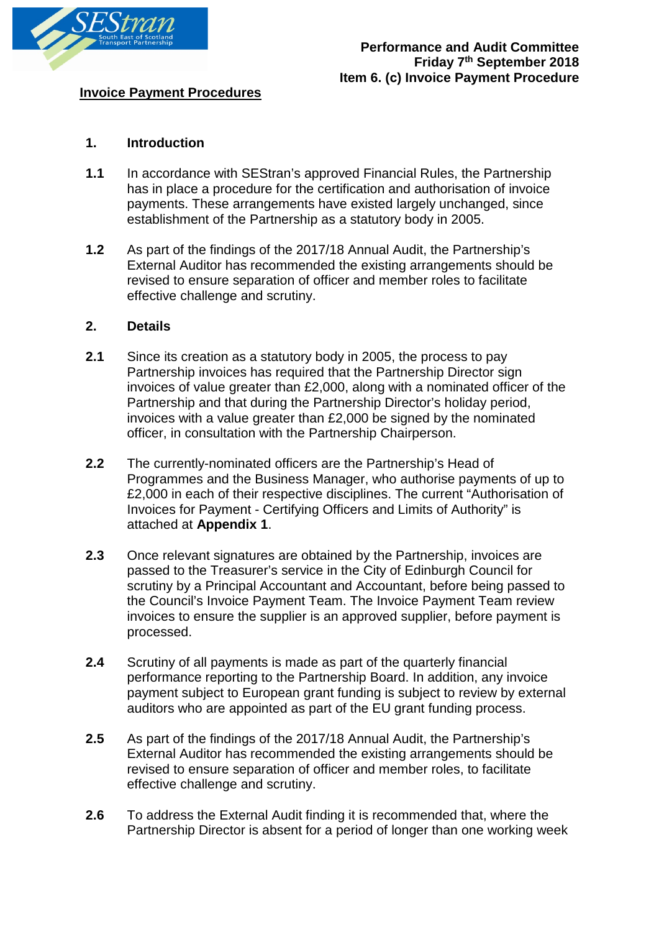

## **Invoice Payment Procedures**

## **1. Introduction**

- **1.1** In accordance with SEStran's approved Financial Rules, the Partnership has in place a procedure for the certification and authorisation of invoice payments. These arrangements have existed largely unchanged, since establishment of the Partnership as a statutory body in 2005.
- **1.2** As part of the findings of the 2017/18 Annual Audit, the Partnership's External Auditor has recommended the existing arrangements should be revised to ensure separation of officer and member roles to facilitate effective challenge and scrutiny.

#### **2. Details**

- **2.1** Since its creation as a statutory body in 2005, the process to pay Partnership invoices has required that the Partnership Director sign invoices of value greater than £2,000, along with a nominated officer of the Partnership and that during the Partnership Director's holiday period, invoices with a value greater than £2,000 be signed by the nominated officer, in consultation with the Partnership Chairperson.
- **2.2** The currently-nominated officers are the Partnership's Head of Programmes and the Business Manager, who authorise payments of up to £2,000 in each of their respective disciplines. The current "Authorisation of Invoices for Payment - Certifying Officers and Limits of Authority" is attached at **Appendix 1**.
- **2.3** Once relevant signatures are obtained by the Partnership, invoices are passed to the Treasurer's service in the City of Edinburgh Council for scrutiny by a Principal Accountant and Accountant, before being passed to the Council's Invoice Payment Team. The Invoice Payment Team review invoices to ensure the supplier is an approved supplier, before payment is processed.
- **2.4** Scrutiny of all payments is made as part of the quarterly financial performance reporting to the Partnership Board. In addition, any invoice payment subject to European grant funding is subject to review by external auditors who are appointed as part of the EU grant funding process.
- **2.5** As part of the findings of the 2017/18 Annual Audit, the Partnership's External Auditor has recommended the existing arrangements should be revised to ensure separation of officer and member roles, to facilitate effective challenge and scrutiny.
- **2.6** To address the External Audit finding it is recommended that, where the Partnership Director is absent for a period of longer than one working week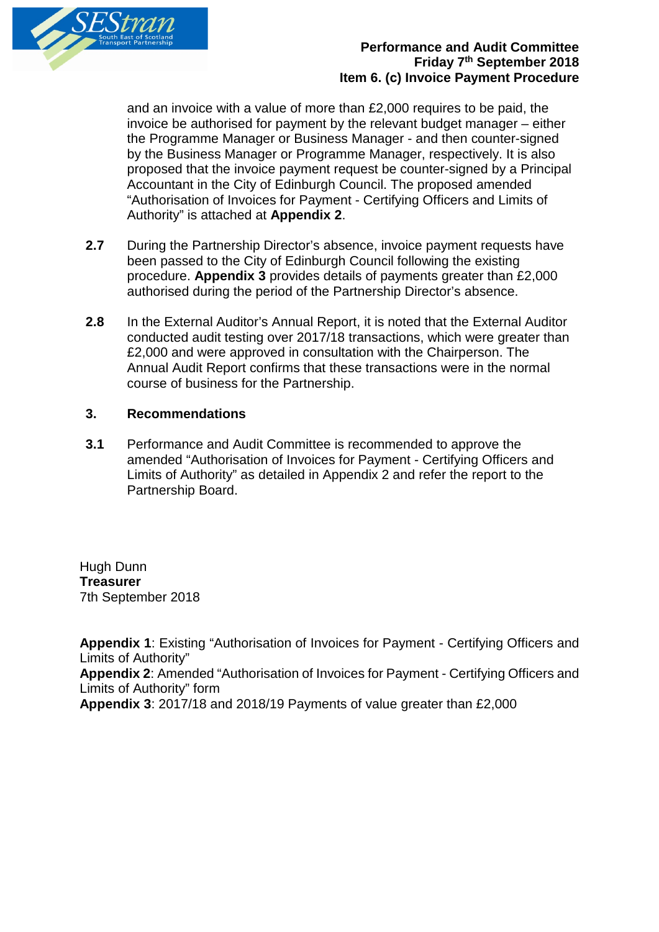

## **Performance and Audit Committee Friday 7th September 2018 Item 6. (c) Invoice Payment Procedure**

and an invoice with a value of more than £2,000 requires to be paid, the invoice be authorised for payment by the relevant budget manager – either the Programme Manager or Business Manager - and then counter-signed by the Business Manager or Programme Manager, respectively. It is also proposed that the invoice payment request be counter-signed by a Principal Accountant in the City of Edinburgh Council. The proposed amended "Authorisation of Invoices for Payment - Certifying Officers and Limits of Authority" is attached at **Appendix 2**.

- **2.7** During the Partnership Director's absence, invoice payment requests have been passed to the City of Edinburgh Council following the existing procedure. **Appendix 3** provides details of payments greater than £2,000 authorised during the period of the Partnership Director's absence.
- **2.8** In the External Auditor's Annual Report, it is noted that the External Auditor conducted audit testing over 2017/18 transactions, which were greater than £2,000 and were approved in consultation with the Chairperson. The Annual Audit Report confirms that these transactions were in the normal course of business for the Partnership.

#### **3. Recommendations**

**3.1** Performance and Audit Committee is recommended to approve the amended "Authorisation of Invoices for Payment - Certifying Officers and Limits of Authority" as detailed in Appendix 2 and refer the report to the Partnership Board.

Hugh Dunn **Treasurer** 7th September 2018

**Appendix 1**: Existing "Authorisation of Invoices for Payment - Certifying Officers and Limits of Authority" **Appendix 2**: Amended "Authorisation of Invoices for Payment - Certifying Officers and Limits of Authority" form **Appendix 3**: 2017/18 and 2018/19 Payments of value greater than £2,000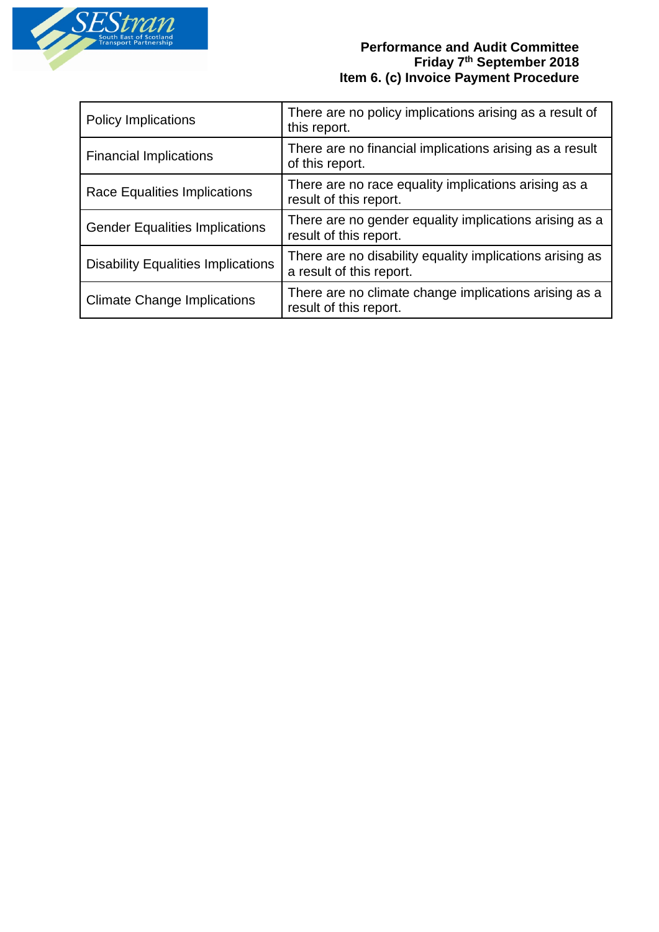

## **Performance and Audit Committee Friday 7th September 2018 Item 6. (c) Invoice Payment Procedure**

| <b>Policy Implications</b>                | There are no policy implications arising as a result of<br>this report.              |
|-------------------------------------------|--------------------------------------------------------------------------------------|
| <b>Financial Implications</b>             | There are no financial implications arising as a result<br>of this report.           |
| Race Equalities Implications              | There are no race equality implications arising as a<br>result of this report.       |
| <b>Gender Equalities Implications</b>     | There are no gender equality implications arising as a<br>result of this report.     |
| <b>Disability Equalities Implications</b> | There are no disability equality implications arising as<br>a result of this report. |
| <b>Climate Change Implications</b>        | There are no climate change implications arising as a<br>result of this report.      |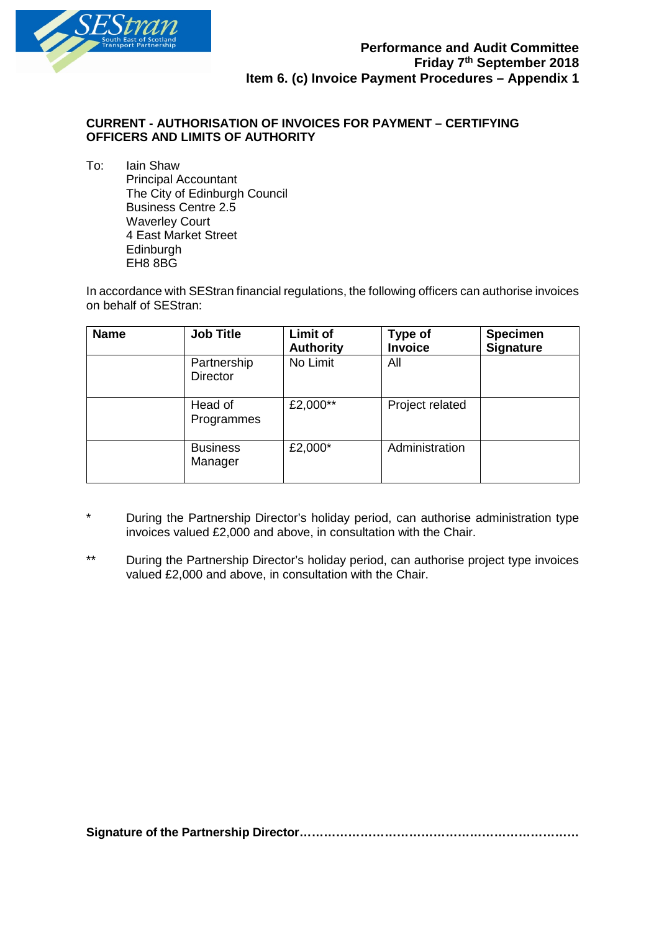

#### **CURRENT - AUTHORISATION OF INVOICES FOR PAYMENT – CERTIFYING OFFICERS AND LIMITS OF AUTHORITY**

To: Iain Shaw Principal Accountant The City of Edinburgh Council Business Centre 2.5 Waverley Court 4 East Market Street **Edinburgh** EH8 8BG

In accordance with SEStran financial regulations, the following officers can authorise invoices on behalf of SEStran:

| <b>Name</b> | <b>Job Title</b>               | <b>Limit of</b><br><b>Authority</b> | Type of<br><b>Invoice</b> | <b>Specimen</b><br><b>Signature</b> |
|-------------|--------------------------------|-------------------------------------|---------------------------|-------------------------------------|
|             | Partnership<br><b>Director</b> | No Limit                            | All                       |                                     |
|             | Head of<br>Programmes          | £2,000**                            | Project related           |                                     |
|             | <b>Business</b><br>Manager     | £2,000*                             | Administration            |                                     |

- During the Partnership Director's holiday period, can authorise administration type invoices valued £2,000 and above, in consultation with the Chair.
- \*\* During the Partnership Director's holiday period, can authorise project type invoices valued £2,000 and above, in consultation with the Chair.

**Signature of the Partnership Director……………………………………………………………**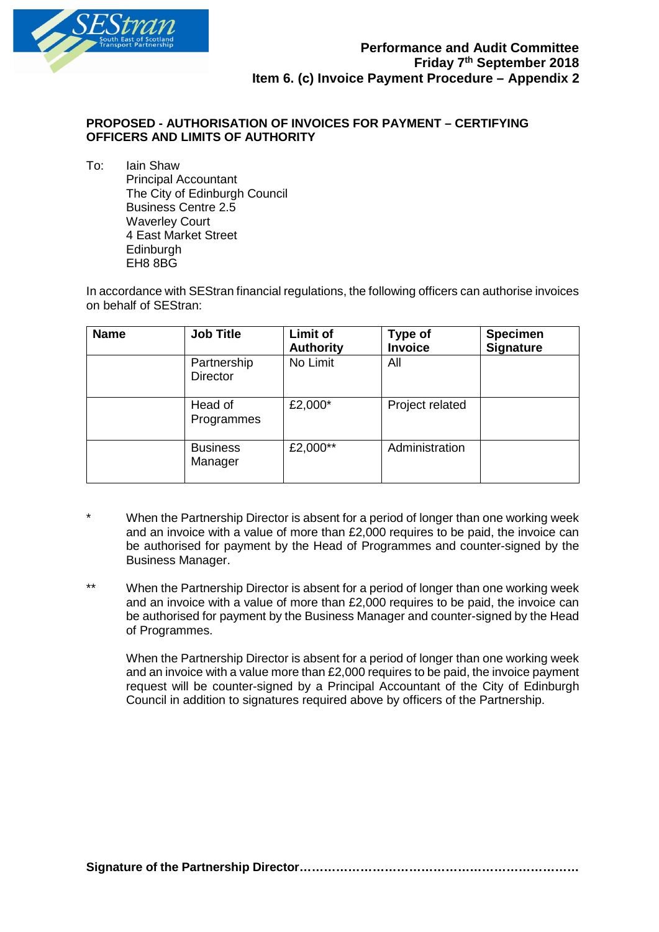

#### **PROPOSED - AUTHORISATION OF INVOICES FOR PAYMENT – CERTIFYING OFFICERS AND LIMITS OF AUTHORITY**

To: Iain Shaw Principal Accountant The City of Edinburgh Council Business Centre 2.5 Waverley Court 4 East Market Street **Edinburgh** EH8 8BG

In accordance with SEStran financial regulations, the following officers can authorise invoices on behalf of SEStran:

| <b>Name</b> | <b>Job Title</b>               | <b>Limit of</b><br><b>Authority</b> | Type of<br><b>Invoice</b> | <b>Specimen</b><br><b>Signature</b> |
|-------------|--------------------------------|-------------------------------------|---------------------------|-------------------------------------|
|             | Partnership<br><b>Director</b> | No Limit                            | All                       |                                     |
|             | Head of<br>Programmes          | £2,000*                             | Project related           |                                     |
|             | <b>Business</b><br>Manager     | £2,000**                            | Administration            |                                     |

- When the Partnership Director is absent for a period of longer than one working week and an invoice with a value of more than £2,000 requires to be paid, the invoice can be authorised for payment by the Head of Programmes and counter-signed by the Business Manager.
- \*\* When the Partnership Director is absent for a period of longer than one working week and an invoice with a value of more than £2,000 requires to be paid, the invoice can be authorised for payment by the Business Manager and counter-signed by the Head of Programmes.

When the Partnership Director is absent for a period of longer than one working week and an invoice with a value more than £2,000 requires to be paid, the invoice payment request will be counter-signed by a Principal Accountant of the City of Edinburgh Council in addition to signatures required above by officers of the Partnership.

**Signature of the Partnership Director……………………………………………………………**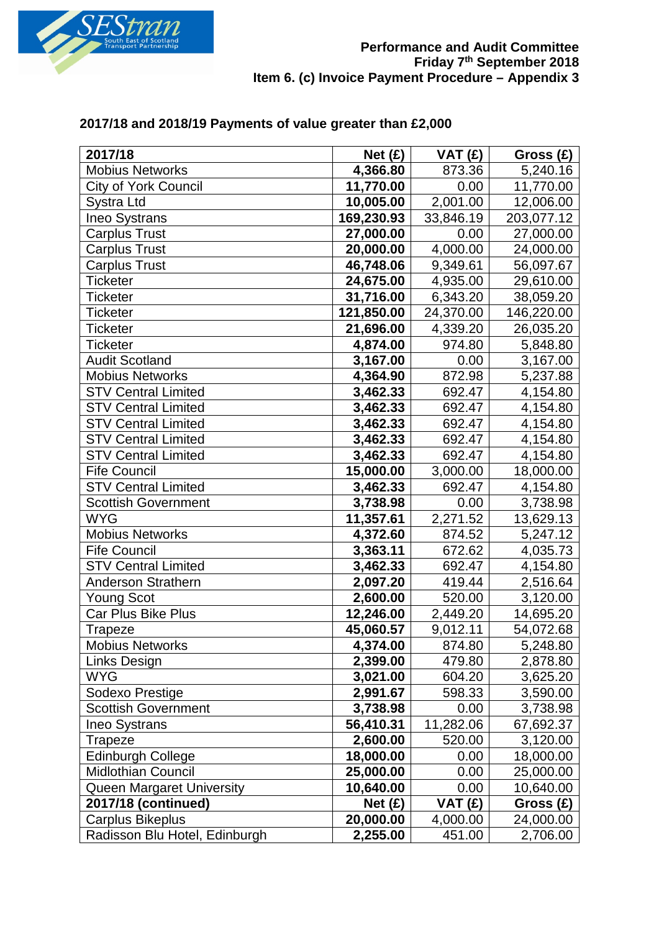

## **2017/18 and 2018/19 Payments of value greater than £2,000**

| 2017/18                       | Net (E)    | VAT(f)    | Gross $(E)$ |
|-------------------------------|------------|-----------|-------------|
| <b>Mobius Networks</b>        | 4,366.80   | 873.36    | 5,240.16    |
| City of York Council          | 11,770.00  | 0.00      | 11,770.00   |
| Systra Ltd                    | 10,005.00  | 2,001.00  | 12,006.00   |
| <b>Ineo Systrans</b>          | 169,230.93 | 33,846.19 | 203,077.12  |
| <b>Carplus Trust</b>          | 27,000.00  | 0.00      | 27,000.00   |
| <b>Carplus Trust</b>          | 20,000.00  | 4,000.00  | 24,000.00   |
| <b>Carplus Trust</b>          | 46,748.06  | 9,349.61  | 56,097.67   |
| <b>Ticketer</b>               | 24,675.00  | 4,935.00  | 29,610.00   |
| <b>Ticketer</b>               | 31,716.00  | 6,343.20  | 38,059.20   |
| <b>Ticketer</b>               | 121,850.00 | 24,370.00 | 146,220.00  |
| <b>Ticketer</b>               | 21,696.00  | 4,339.20  | 26,035.20   |
| <b>Ticketer</b>               | 4,874.00   | 974.80    | 5,848.80    |
| <b>Audit Scotland</b>         | 3,167.00   | 0.00      | 3,167.00    |
| <b>Mobius Networks</b>        | 4,364.90   | 872.98    | 5,237.88    |
| <b>STV Central Limited</b>    | 3,462.33   | 692.47    | 4,154.80    |
| <b>STV Central Limited</b>    | 3,462.33   | 692.47    | 4,154.80    |
| <b>STV Central Limited</b>    | 3,462.33   | 692.47    | 4,154.80    |
| <b>STV Central Limited</b>    | 3,462.33   | 692.47    | 4,154.80    |
| <b>STV Central Limited</b>    | 3,462.33   | 692.47    | 4,154.80    |
| <b>Fife Council</b>           | 15,000.00  | 3,000.00  | 18,000.00   |
| <b>STV Central Limited</b>    | 3,462.33   | 692.47    | 4,154.80    |
| <b>Scottish Government</b>    | 3,738.98   | 0.00      | 3,738.98    |
| <b>WYG</b>                    | 11,357.61  | 2,271.52  | 13,629.13   |
| <b>Mobius Networks</b>        | 4,372.60   | 874.52    | 5,247.12    |
| <b>Fife Council</b>           | 3,363.11   | 672.62    | 4,035.73    |
| <b>STV Central Limited</b>    | 3,462.33   | 692.47    | 4,154.80    |
| Anderson Strathern            | 2,097.20   | 419.44    | 2,516.64    |
| <b>Young Scot</b>             | 2,600.00   | 520.00    | 3,120.00    |
| Car Plus Bike Plus            | 12,246.00  | 2,449.20  | 14,695.20   |
| Trapeze                       | 45,060.57  | 9,012.11  | 54,072.68   |
| Mobius Networks               | 4,374.00   | 874.80    | 5,248.80    |
| Links Design                  | 2,399.00   | 479.80    | 2,878.80    |
| <b>WYG</b>                    | 3,021.00   | 604.20    | 3,625.20    |
| Sodexo Prestige               | 2,991.67   | 598.33    | 3,590.00    |
| <b>Scottish Government</b>    | 3,738.98   | 0.00      | 3,738.98    |
| Ineo Systrans                 | 56,410.31  | 11,282.06 | 67,692.37   |
| <b>Trapeze</b>                | 2,600.00   | 520.00    | 3,120.00    |
| <b>Edinburgh College</b>      | 18,000.00  | 0.00      | 18,000.00   |
| <b>Midlothian Council</b>     | 25,000.00  | 0.00      | 25,000.00   |
| Queen Margaret University     | 10,640.00  | 0.00      | 10,640.00   |
| 2017/18 (continued)           | Net (E)    | VAT (£)   | Gross (£)   |
| Carplus Bikeplus              | 20,000.00  | 4,000.00  | 24,000.00   |
| Radisson Blu Hotel, Edinburgh | 2,255.00   | 451.00    | 2,706.00    |